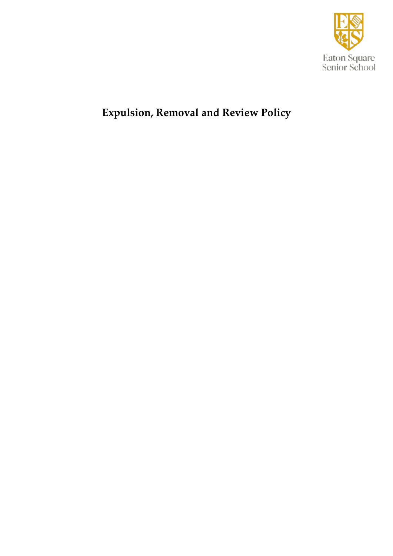

# **Expulsion, Removal and Review Policy**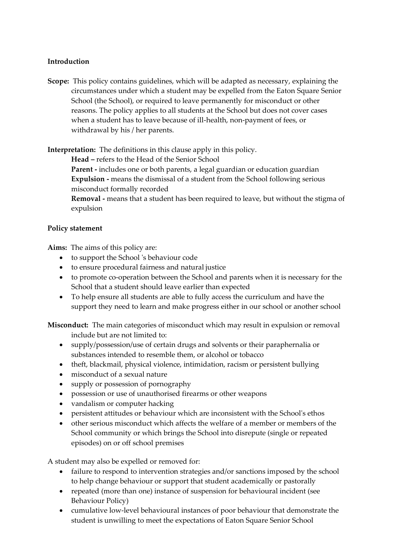#### **Introduction**

**Scope:** This policy contains guidelines, which will be adapted as necessary, explaining the circumstances under which a student may be expelled from the Eaton Square Senior School (the School), or required to leave permanently for misconduct or other reasons. The policy applies to all students at the School but does not cover cases when a student has to leave because of ill-health, non-payment of fees, or withdrawal by his / her parents.

**Interpretation:** The definitions in this clause apply in this policy.

**Head –** refers to the Head of the Senior School

**Parent -** includes one or both parents, a legal guardian or education guardian **Expulsion -** means the dismissal of a student from the School following serious misconduct formally recorded

**Removal -** means that a student has been required to leave, but without the stigma of expulsion

#### **Policy statement**

**Aims:** The aims of this policy are:

- to support the School 's behaviour code
- to ensure procedural fairness and natural justice
- to promote co-operation between the School and parents when it is necessary for the School that a student should leave earlier than expected
- To help ensure all students are able to fully access the curriculum and have the support they need to learn and make progress either in our school or another school

**Misconduct:** The main categories of misconduct which may result in expulsion or removal include but are not limited to:

- supply/possession/use of certain drugs and solvents or their paraphernalia or substances intended to resemble them, or alcohol or tobacco
- theft, blackmail, physical violence, intimidation, racism or persistent bullying
- misconduct of a sexual nature
- supply or possession of pornography
- possession or use of unauthorised firearms or other weapons
- vandalism or computer hacking
- persistent attitudes or behaviour which are inconsistent with the School's ethos
- other serious misconduct which affects the welfare of a member or members of the School community or which brings the School into disrepute (single or repeated episodes) on or off school premises

A student may also be expelled or removed for:

- failure to respond to intervention strategies and/or sanctions imposed by the school to help change behaviour or support that student academically or pastorally
- repeated (more than one) instance of suspension for behavioural incident (see Behaviour Policy)
- cumulative low-level behavioural instances of poor behaviour that demonstrate the student is unwilling to meet the expectations of Eaton Square Senior School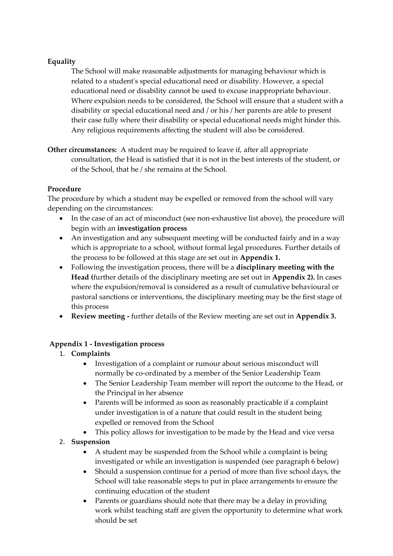# **Equality**

The School will make reasonable adjustments for managing behaviour which is related to a student's special educational need or disability. However, a special educational need or disability cannot be used to excuse inappropriate behaviour. Where expulsion needs to be considered, the School will ensure that a student with a disability or special educational need and / or his / her parents are able to present their case fully where their disability or special educational needs might hinder this. Any religious requirements affecting the student will also be considered.

**Other circumstances:** A student may be required to leave if, after all appropriate consultation, the Head is satisfied that it is not in the best interests of the student, or of the School, that he / she remains at the School.

## **Procedure**

The procedure by which a student may be expelled or removed from the school will vary depending on the circumstances:

- In the case of an act of misconduct (see non-exhaustive list above), the procedure will begin with an **investigation process**
- An investigation and any subsequent meeting will be conducted fairly and in a way which is appropriate to a school, without formal legal procedures. Further details of the process to be followed at this stage are set out in **Appendix 1.**
- Following the investigation process, there will be a **disciplinary meeting with the Head (**further details of the disciplinary meeting are set out in **Appendix 2).** In cases where the expulsion/removal is considered as a result of cumulative behavioural or pastoral sanctions or interventions, the disciplinary meeting may be the first stage of this process
- **Review meeting -** further details of the Review meeting are set out in **Appendix 3.**

## **Appendix 1 - Investigation process**

## 1. **Complaints**

- Investigation of a complaint or rumour about serious misconduct will normally be co-ordinated by a member of the Senior Leadership Team
- The Senior Leadership Team member will report the outcome to the Head, or the Principal in her absence
- Parents will be informed as soon as reasonably practicable if a complaint under investigation is of a nature that could result in the student being expelled or removed from the School
- This policy allows for investigation to be made by the Head and vice versa

## 2. **Suspension**

- A student may be suspended from the School while a complaint is being investigated or while an investigation is suspended (see paragraph 6 below)
- Should a suspension continue for a period of more than five school days, the School will take reasonable steps to put in place arrangements to ensure the continuing education of the student
- Parents or guardians should note that there may be a delay in providing work whilst teaching staff are given the opportunity to determine what work should be set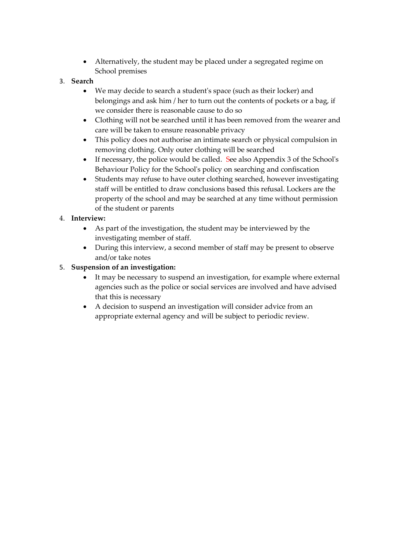- Alternatively, the student may be placed under a segregated regime on School premises
- 3. **Search**
	- We may decide to search a student's space (such as their locker) and belongings and ask him / her to turn out the contents of pockets or a bag, if we consider there is reasonable cause to do so
	- Clothing will not be searched until it has been removed from the wearer and care will be taken to ensure reasonable privacy
	- This policy does not authorise an intimate search or physical compulsion in removing clothing. Only outer clothing will be searched
	- If necessary, the police would be called. See also Appendix 3 of the School's Behaviour Policy for the School's policy on searching and confiscation
	- Students may refuse to have outer clothing searched, however investigating staff will be entitled to draw conclusions based this refusal. Lockers are the property of the school and may be searched at any time without permission of the student or parents

# 4. **Interview:**

- As part of the investigation, the student may be interviewed by the investigating member of staff.
- During this interview, a second member of staff may be present to observe and/or take notes

# 5. **Suspension of an investigation:**

- It may be necessary to suspend an investigation, for example where external agencies such as the police or social services are involved and have advised that this is necessary
- A decision to suspend an investigation will consider advice from an appropriate external agency and will be subject to periodic review.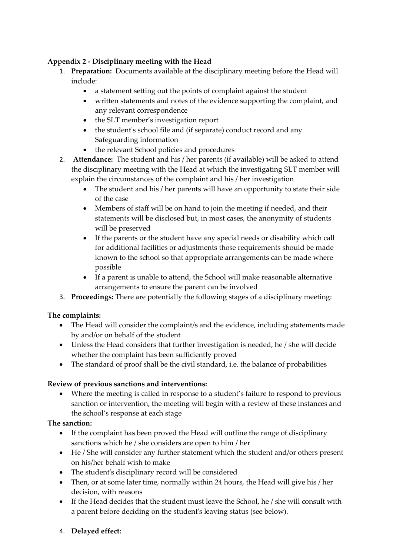## **Appendix 2 - Disciplinary meeting with the Head**

- 1. **Preparation:** Documents available at the disciplinary meeting before the Head will include:
	- a statement setting out the points of complaint against the student
	- written statements and notes of the evidence supporting the complaint, and any relevant correspondence
	- the SLT member's investigation report
	- the student's school file and (if separate) conduct record and any Safeguarding information
	- the relevant School policies and procedures
- 2. **Attendance:** The student and his / her parents (if available) will be asked to attend the disciplinary meeting with the Head at which the investigating SLT member will explain the circumstances of the complaint and his / her investigation
	- The student and his / her parents will have an opportunity to state their side of the case
	- Members of staff will be on hand to join the meeting if needed, and their statements will be disclosed but, in most cases, the anonymity of students will be preserved
	- If the parents or the student have any special needs or disability which call for additional facilities or adjustments those requirements should be made known to the school so that appropriate arrangements can be made where possible
	- If a parent is unable to attend, the School will make reasonable alternative arrangements to ensure the parent can be involved
- 3. **Proceedings:** There are potentially the following stages of a disciplinary meeting:

## **The complaints:**

- The Head will consider the complaint/s and the evidence, including statements made by and/or on behalf of the student
- Unless the Head considers that further investigation is needed, he / she will decide whether the complaint has been sufficiently proved
- The standard of proof shall be the civil standard, i.e. the balance of probabilities

## **Review of previous sanctions and interventions:**

• Where the meeting is called in response to a student's failure to respond to previous sanction or intervention, the meeting will begin with a review of these instances and the school's response at each stage

## **The sanction:**

- If the complaint has been proved the Head will outline the range of disciplinary sanctions which he / she considers are open to him / her
- He / She will consider any further statement which the student and/or others present on his/her behalf wish to make
- The student's disciplinary record will be considered
- Then, or at some later time, normally within 24 hours, the Head will give his / her decision, with reasons
- If the Head decides that the student must leave the School, he / she will consult with a parent before deciding on the student's leaving status (see below).
- 4. **Delayed effect:**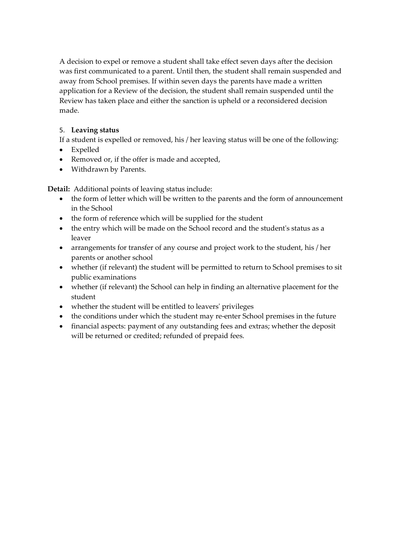A decision to expel or remove a student shall take effect seven days after the decision was first communicated to a parent. Until then, the student shall remain suspended and away from School premises. If within seven days the parents have made a written application for a Review of the decision, the student shall remain suspended until the Review has taken place and either the sanction is upheld or a reconsidered decision made.

# 5. **Leaving status**

If a student is expelled or removed, his / her leaving status will be one of the following:

- Expelled
- Removed or, if the offer is made and accepted,
- Withdrawn by Parents.

**Detail:** Additional points of leaving status include:

- the form of letter which will be written to the parents and the form of announcement in the School
- the form of reference which will be supplied for the student
- the entry which will be made on the School record and the student's status as a leaver
- arrangements for transfer of any course and project work to the student, his / her parents or another school
- whether (if relevant) the student will be permitted to return to School premises to sit public examinations
- whether (if relevant) the School can help in finding an alternative placement for the student
- whether the student will be entitled to leavers' privileges
- the conditions under which the student may re-enter School premises in the future
- financial aspects: payment of any outstanding fees and extras; whether the deposit will be returned or credited; refunded of prepaid fees.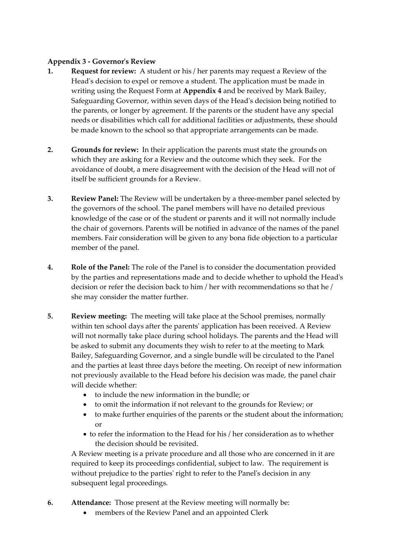#### **Appendix 3 - Governor's Review**

- **1. Request for review:** A student or his / her parents may request a Review of the Head's decision to expel or remove a student. The application must be made in writing using the Request Form at **Appendix 4** and be received by Mark Bailey, Safeguarding Governor, within seven days of the Head's decision being notified to the parents, or longer by agreement. If the parents or the student have any special needs or disabilities which call for additional facilities or adjustments, these should be made known to the school so that appropriate arrangements can be made.
- **2. Grounds for review:** In their application the parents must state the grounds on which they are asking for a Review and the outcome which they seek. For the avoidance of doubt, a mere disagreement with the decision of the Head will not of itself be sufficient grounds for a Review.
- **3. Review Panel:** The Review will be undertaken by a three-member panel selected by the governors of the school. The panel members will have no detailed previous knowledge of the case or of the student or parents and it will not normally include the chair of governors. Parents will be notified in advance of the names of the panel members. Fair consideration will be given to any bona fide objection to a particular member of the panel.
- **4. Role of the Panel:** The role of the Panel is to consider the documentation provided by the parties and representations made and to decide whether to uphold the Head's decision or refer the decision back to him / her with recommendations so that he / she may consider the matter further.
- **5. Review meeting:** The meeting will take place at the School premises, normally within ten school days after the parents' application has been received. A Review will not normally take place during school holidays. The parents and the Head will be asked to submit any documents they wish to refer to at the meeting to Mark Bailey, Safeguarding Governor, and a single bundle will be circulated to the Panel and the parties at least three days before the meeting. On receipt of new information not previously available to the Head before his decision was made, the panel chair will decide whether:
	- to include the new information in the bundle; or
	- to omit the information if not relevant to the grounds for Review; or
	- to make further enquiries of the parents or the student about the information; or
	- to refer the information to the Head for his / her consideration as to whether the decision should be revisited.

A Review meeting is a private procedure and all those who are concerned in it are required to keep its proceedings confidential, subject to law. The requirement is without prejudice to the parties' right to refer to the Panel's decision in any subsequent legal proceedings.

- **6. Attendance:** Those present at the Review meeting will normally be:
	- members of the Review Panel and an appointed Clerk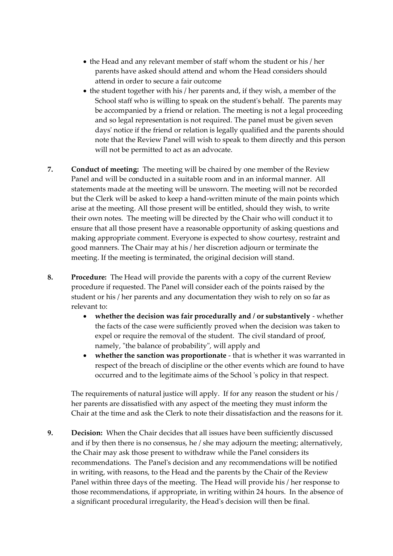- the Head and any relevant member of staff whom the student or his / her parents have asked should attend and whom the Head considers should attend in order to secure a fair outcome
- the student together with his / her parents and, if they wish, a member of the School staff who is willing to speak on the student's behalf. The parents may be accompanied by a friend or relation. The meeting is not a legal proceeding and so legal representation is not required. The panel must be given seven days' notice if the friend or relation is legally qualified and the parents should note that the Review Panel will wish to speak to them directly and this person will not be permitted to act as an advocate.
- **7. Conduct of meeting:** The meeting will be chaired by one member of the Review Panel and will be conducted in a suitable room and in an informal manner. All statements made at the meeting will be unsworn. The meeting will not be recorded but the Clerk will be asked to keep a hand-written minute of the main points which arise at the meeting. All those present will be entitled, should they wish, to write their own notes. The meeting will be directed by the Chair who will conduct it to ensure that all those present have a reasonable opportunity of asking questions and making appropriate comment. Everyone is expected to show courtesy, restraint and good manners. The Chair may at his / her discretion adjourn or terminate the meeting. If the meeting is terminated, the original decision will stand.
- **8. Procedure:** The Head will provide the parents with a copy of the current Review procedure if requested. The Panel will consider each of the points raised by the student or his / her parents and any documentation they wish to rely on so far as relevant to:
	- **whether the decision was fair procedurally and / or substantively** whether the facts of the case were sufficiently proved when the decision was taken to expel or require the removal of the student. The civil standard of proof, namely, "the balance of probability", will apply and
	- **whether the sanction was proportionate**  that is whether it was warranted in respect of the breach of discipline or the other events which are found to have occurred and to the legitimate aims of the School 's policy in that respect.

The requirements of natural justice will apply. If for any reason the student or his / her parents are dissatisfied with any aspect of the meeting they must inform the Chair at the time and ask the Clerk to note their dissatisfaction and the reasons for it.

**9. Decision:** When the Chair decides that all issues have been sufficiently discussed and if by then there is no consensus, he / she may adjourn the meeting; alternatively, the Chair may ask those present to withdraw while the Panel considers its recommendations. The Panel's decision and any recommendations will be notified in writing, with reasons, to the Head and the parents by the Chair of the Review Panel within three days of the meeting. The Head will provide his / her response to those recommendations, if appropriate, in writing within 24 hours. In the absence of a significant procedural irregularity, the Head's decision will then be final.